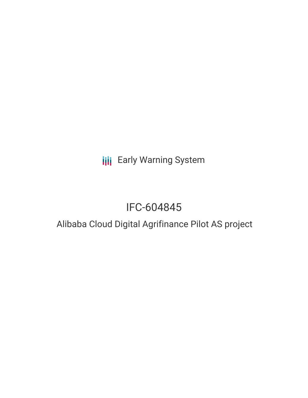**III** Early Warning System

## IFC-604845

### Alibaba Cloud Digital Agrifinance Pilot AS project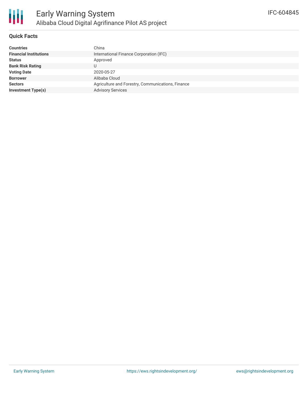

#### **Quick Facts**

| <b>Countries</b>              | China                                             |
|-------------------------------|---------------------------------------------------|
| <b>Financial Institutions</b> | International Finance Corporation (IFC)           |
| Status                        | Approved                                          |
| <b>Bank Risk Rating</b>       | U                                                 |
| <b>Voting Date</b>            | 2020-05-27                                        |
| <b>Borrower</b>               | Alibaba Cloud                                     |
| <b>Sectors</b>                | Agriculture and Forestry, Communications, Finance |
| Investment Type(s)            | <b>Advisory Services</b>                          |
|                               |                                                   |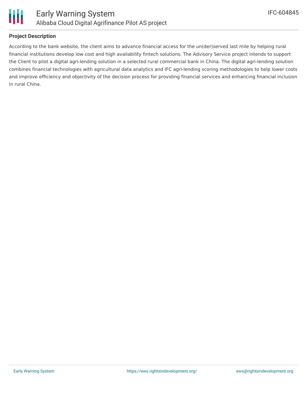

#### **Project Description**

According to the bank website, the client aims to advance financial access for the un(der)served last mile by helping rural financial institutions develop low cost and high availability fintech solutions. The Advisory Service project intends to support the Client to pilot a digital agri-lending solution in a selected rural commercial bank in China. The digital agri-lending solution combines financial technologies with agricultural data analytics and IFC agri-lending scoring methodologies to help lower costs and improve efficiency and objectivity of the decision process for providing financial services and enhancing financial inclusion in rural China.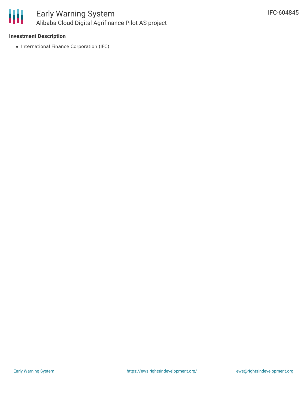

#### **Investment Description**

• International Finance Corporation (IFC)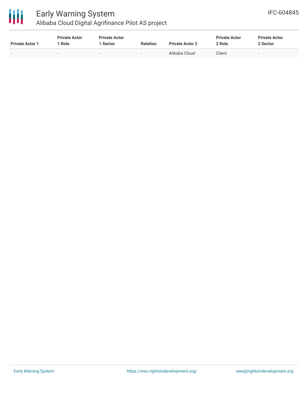

# Early Warning System

Alibaba Cloud Digital Agrifinance Pilot AS project

| <b>Private Actor 1</b> | <b>Private Actor</b><br>' Role | <b>Private Actor</b><br>1 Sector | <b>Relation</b> | <b>Private Actor 2</b> | <b>Private Actor</b><br>2 Role | <b>Private Actor</b><br>2 Sector |
|------------------------|--------------------------------|----------------------------------|-----------------|------------------------|--------------------------------|----------------------------------|
| $\sim$                 |                                |                                  |                 | Alibaba Cloud          | Client                         |                                  |